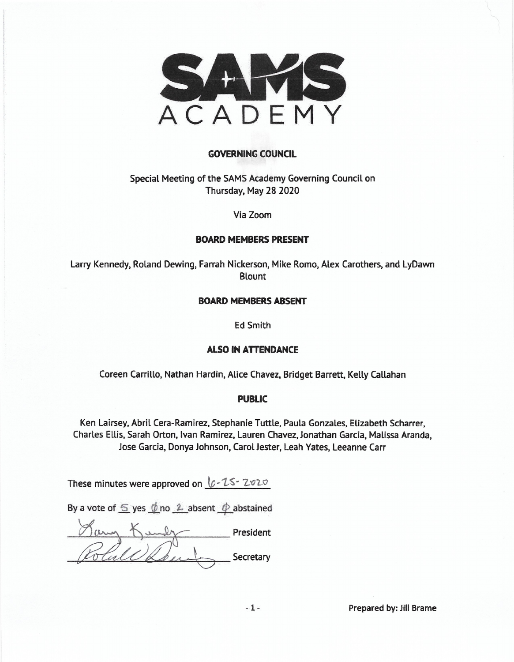

#### **GOVERNING COUNCIL**

#### Special Meeting of the SAMS Academy Governing Council on Thursday, May 28 2020

Via Zoom

#### **BOARD MEMBERS PRESENT**

Larry Kennedy, Roland Dewing, Farrah Nickerson, Mike Romo, Alex Carothers, and LyDawn **Blount** 

#### **BOARD MEMBERS ABSENT**

**Ed Smith** 

#### **ALSO IN ATTENDANCE**

Coreen Carrillo, Nathan Hardin, Alice Chavez, Bridget Barrett, Kelly Callahan

#### **PUBLIC**

Ken Lairsey, Abril Cera-Ramirez, Stephanie Tuttle, Paula Gonzales, Elizabeth Scharrer, Charles Ellis, Sarah Orton, Ivan Ramirez, Lauren Chavez, Jonathan Garcia, Malissa Aranda, Jose Garcia, Donya Johnson, Carol Jester, Leah Yates, Leeanne Carr

These minutes were approved on 0-25-2020

By a vote of  $\leq$  yes  $\phi$  no  $\angle$  absent  $\phi$  abstained

President Secretary

Prepared by: Jill Brame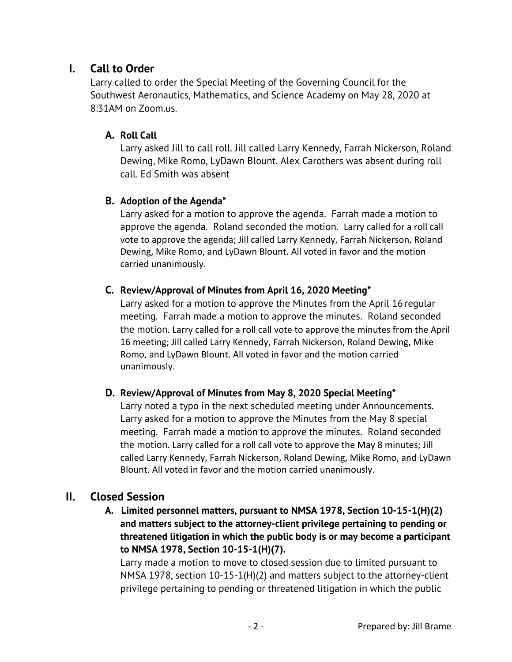# **I. Call to Order**

Larry called to order the Special Meeting of the Governing Council for the Southwest Aeronautics, Mathematics, and Science Academy on May 28, 2020 at 8:31AM on Zoom.us.

## **A. Roll Call**

Larry asked Jill to call roll. Jill called Larry Kennedy, Farrah Nickerson, Roland Dewing, Mike Romo, LyDawn Blount. Alex Carothers was absent during roll call. Ed Smith was absent

### **B. Adoption of the Agenda\***

Larry asked for a motion to approve the agenda. Farrah made a motion to approve the agenda. Roland seconded the motion. Larry called for a roll call vote to approve the agenda; Jill called Larry Kennedy, Farrah Nickerson, Roland Dewing, Mike Romo, and LyDawn Blount. All voted in favor and the motion carried unanimously.

### **C. Review/Approval of Minutes from April 16, 2020 Meeting\***

Larry asked for a motion to approve the Minutes from the April 16 regular meeting. Farrah made a motion to approve the minutes. Roland seconded the motion. Larry called for a roll call vote to approve the minutes from the April 16 meeting; Jill called Larry Kennedy, Farrah Nickerson, Roland Dewing, Mike Romo, and LyDawn Blount. All voted in favor and the motion carried unanimously.

## **D. Review/Approval of Minutes from May 8, 2020 Special Meeting\***

Larry noted a typo in the next scheduled meeting under Announcements. Larry asked for a motion to approve the Minutes from the May 8 special meeting. Farrah made a motion to approve the minutes. Roland seconded the motion. Larry called for a roll call vote to approve the May 8 minutes; Jill called Larry Kennedy, Farrah Nickerson, Roland Dewing, Mike Romo, and LyDawn Blount. All voted in favor and the motion carried unanimously.

## **II. Closed Session**

 **A. Limited personnel matters, pursuant to NMSA 1978, Section 10-15-1(H)(2) and matters subject to the attorney-client privilege pertaining to pending or threatened litigation in which the public body is or may become a participant to NMSA 1978, Section 10-15-1(H)(7).** 

Larry made a motion to move to closed session due to limited pursuant to NMSA 1978, section 10-15-1(H)(2) and matters subject to the attorney-client privilege pertaining to pending or threatened litigation in which the public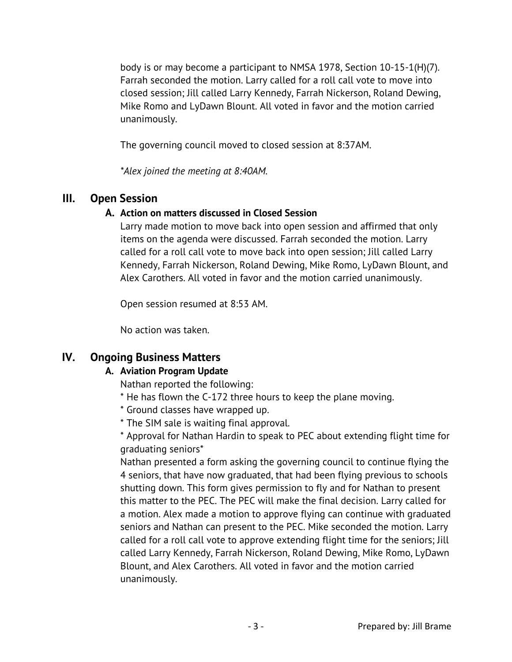body is or may become a participant to NMSA 1978, Section 10-15-1(H)(7). Farrah seconded the motion. Larry called for a roll call vote to move into closed session; Jill called Larry Kennedy, Farrah Nickerson, Roland Dewing, Mike Romo and LyDawn Blount. All voted in favor and the motion carried unanimously.

The governing council moved to closed session at 8:37AM.

*\*Alex joined the meeting at 8:40AM.* 

## **III. Open Session**

## **A. Action on matters discussed in Closed Session**

Larry made motion to move back into open session and affirmed that only items on the agenda were discussed. Farrah seconded the motion. Larry called for a roll call vote to move back into open session; Jill called Larry Kennedy, Farrah Nickerson, Roland Dewing, Mike Romo, LyDawn Blount, and Alex Carothers. All voted in favor and the motion carried unanimously.

Open session resumed at 8:53 AM.

No action was taken.

# **IV. Ongoing Business Matters**

## **A. Aviation Program Update**

Nathan reported the following:

- \* He has flown the C-172 three hours to keep the plane moving.
- \* Ground classes have wrapped up.
- \* The SIM sale is waiting final approval.

\* Approval for Nathan Hardin to speak to PEC about extending flight time for graduating seniors\*

Nathan presented a form asking the governing council to continue flying the 4 seniors, that have now graduated, that had been flying previous to schools shutting down. This form gives permission to fly and for Nathan to present this matter to the PEC. The PEC will make the final decision. Larry called for a motion. Alex made a motion to approve flying can continue with graduated seniors and Nathan can present to the PEC. Mike seconded the motion. Larry called for a roll call vote to approve extending flight time for the seniors; Jill called Larry Kennedy, Farrah Nickerson, Roland Dewing, Mike Romo, LyDawn Blount, and Alex Carothers. All voted in favor and the motion carried unanimously.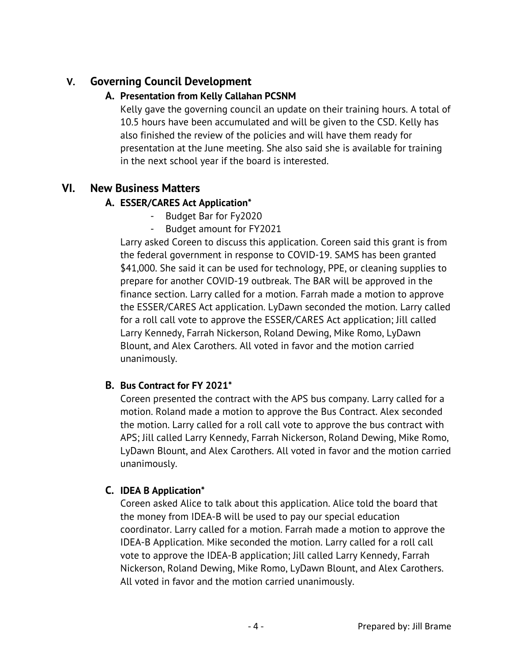# **V. Governing Council Development**

## **A. Presentation from Kelly Callahan PCSNM**

Kelly gave the governing council an update on their training hours. A total of 10.5 hours have been accumulated and will be given to the CSD. Kelly has also finished the review of the policies and will have them ready for presentation at the June meeting. She also said she is available for training in the next school year if the board is interested.

# **VI. New Business Matters**

# **A. ESSER/CARES Act Application\***

- Budget Bar for Fy2020
- Budget amount for FY2021

Larry asked Coreen to discuss this application. Coreen said this grant is from the federal government in response to COVID-19. SAMS has been granted \$41,000. She said it can be used for technology, PPE, or cleaning supplies to prepare for another COVID-19 outbreak. The BAR will be approved in the finance section. Larry called for a motion. Farrah made a motion to approve the ESSER/CARES Act application. LyDawn seconded the motion. Larry called for a roll call vote to approve the ESSER/CARES Act application; Jill called Larry Kennedy, Farrah Nickerson, Roland Dewing, Mike Romo, LyDawn Blount, and Alex Carothers. All voted in favor and the motion carried unanimously.

## **B. Bus Contract for FY 2021\***

Coreen presented the contract with the APS bus company. Larry called for a motion. Roland made a motion to approve the Bus Contract. Alex seconded the motion. Larry called for a roll call vote to approve the bus contract with APS; Jill called Larry Kennedy, Farrah Nickerson, Roland Dewing, Mike Romo, LyDawn Blount, and Alex Carothers. All voted in favor and the motion carried unanimously.

## **C. IDEA B Application\***

Coreen asked Alice to talk about this application. Alice told the board that the money from IDEA-B will be used to pay our special education coordinator. Larry called for a motion. Farrah made a motion to approve the IDEA-B Application. Mike seconded the motion. Larry called for a roll call vote to approve the IDEA-B application; Jill called Larry Kennedy, Farrah Nickerson, Roland Dewing, Mike Romo, LyDawn Blount, and Alex Carothers. All voted in favor and the motion carried unanimously.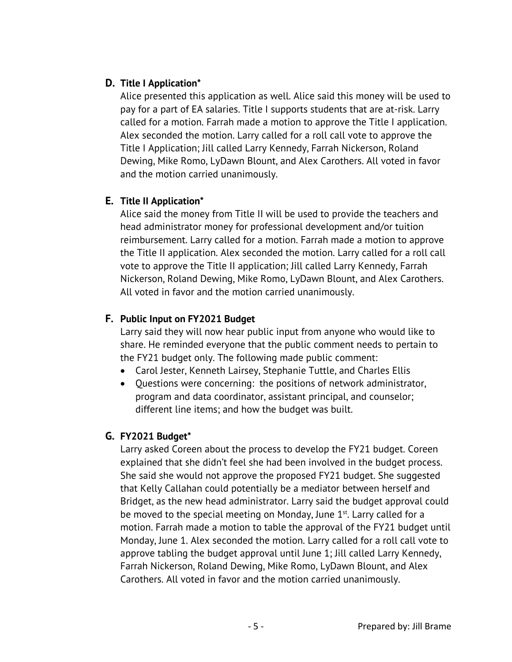## **D. Title I Application\***

Alice presented this application as well. Alice said this money will be used to pay for a part of EA salaries. Title I supports students that are at-risk. Larry called for a motion. Farrah made a motion to approve the Title I application. Alex seconded the motion. Larry called for a roll call vote to approve the Title I Application; Jill called Larry Kennedy, Farrah Nickerson, Roland Dewing, Mike Romo, LyDawn Blount, and Alex Carothers. All voted in favor and the motion carried unanimously.

## **E. Title II Application\***

Alice said the money from Title II will be used to provide the teachers and head administrator money for professional development and/or tuition reimbursement. Larry called for a motion. Farrah made a motion to approve the Title II application. Alex seconded the motion. Larry called for a roll call vote to approve the Title II application; Jill called Larry Kennedy, Farrah Nickerson, Roland Dewing, Mike Romo, LyDawn Blount, and Alex Carothers. All voted in favor and the motion carried unanimously.

## **F. Public Input on FY2021 Budget**

Larry said they will now hear public input from anyone who would like to share. He reminded everyone that the public comment needs to pertain to the FY21 budget only. The following made public comment:

- Carol Jester, Kenneth Lairsey, Stephanie Tuttle, and Charles Ellis
- Questions were concerning: the positions of network administrator, program and data coordinator, assistant principal, and counselor; different line items; and how the budget was built.

## **G. FY2021 Budget\***

Larry asked Coreen about the process to develop the FY21 budget. Coreen explained that she didn't feel she had been involved in the budget process. She said she would not approve the proposed FY21 budget. She suggested that Kelly Callahan could potentially be a mediator between herself and Bridget, as the new head administrator. Larry said the budget approval could be moved to the special meeting on Monday, June  $1<sup>st</sup>$ . Larry called for a motion. Farrah made a motion to table the approval of the FY21 budget until Monday, June 1. Alex seconded the motion. Larry called for a roll call vote to approve tabling the budget approval until June 1; Jill called Larry Kennedy, Farrah Nickerson, Roland Dewing, Mike Romo, LyDawn Blount, and Alex Carothers. All voted in favor and the motion carried unanimously.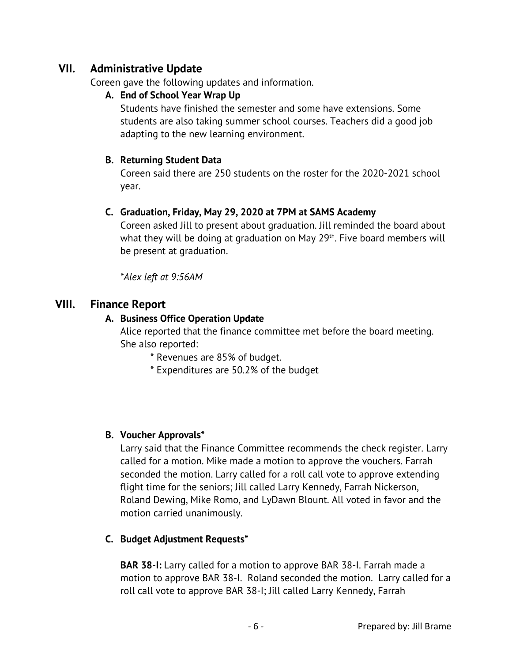# **VII. Administrative Update**

Coreen gave the following updates and information.

## **A. End of School Year Wrap Up**

Students have finished the semester and some have extensions. Some students are also taking summer school courses. Teachers did a good job adapting to the new learning environment.

## **B. Returning Student Data**

Coreen said there are 250 students on the roster for the 2020-2021 school year.

## **C. Graduation, Friday, May 29, 2020 at 7PM at SAMS Academy**

Coreen asked Jill to present about graduation. Jill reminded the board about what they will be doing at graduation on May 29<sup>th</sup>. Five board members will be present at graduation.

*\*Alex left at 9:56AM*

# **VIII. Finance Report**

## **A. Business Office Operation Update**

Alice reported that the finance committee met before the board meeting. She also reported:

\* Revenues are 85% of budget.

\* Expenditures are 50.2% of the budget

### **B. Voucher Approvals\***

Larry said that the Finance Committee recommends the check register. Larry called for a motion. Mike made a motion to approve the vouchers. Farrah seconded the motion. Larry called for a roll call vote to approve extending flight time for the seniors; Jill called Larry Kennedy, Farrah Nickerson, Roland Dewing, Mike Romo, and LyDawn Blount. All voted in favor and the motion carried unanimously.

### **C. Budget Adjustment Requests\***

**BAR 38-I:** Larry called for a motion to approve BAR 38-I. Farrah made a motion to approve BAR 38-I. Roland seconded the motion. Larry called for a roll call vote to approve BAR 38-I; Jill called Larry Kennedy, Farrah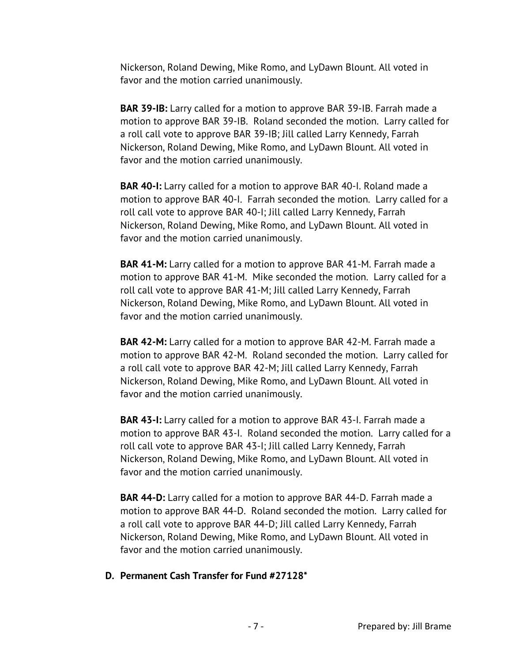Nickerson, Roland Dewing, Mike Romo, and LyDawn Blount. All voted in favor and the motion carried unanimously.

**BAR 39-IB:** Larry called for a motion to approve BAR 39-IB. Farrah made a motion to approve BAR 39-IB. Roland seconded the motion. Larry called for a roll call vote to approve BAR 39-IB; Jill called Larry Kennedy, Farrah Nickerson, Roland Dewing, Mike Romo, and LyDawn Blount. All voted in favor and the motion carried unanimously.

**BAR 40-I:** Larry called for a motion to approve BAR 40-I. Roland made a motion to approve BAR 40-I. Farrah seconded the motion. Larry called for a roll call vote to approve BAR 40-I; Jill called Larry Kennedy, Farrah Nickerson, Roland Dewing, Mike Romo, and LyDawn Blount. All voted in favor and the motion carried unanimously.

**BAR 41-M:** Larry called for a motion to approve BAR 41-M. Farrah made a motion to approve BAR 41-M. Mike seconded the motion. Larry called for a roll call vote to approve BAR 41-M; Jill called Larry Kennedy, Farrah Nickerson, Roland Dewing, Mike Romo, and LyDawn Blount. All voted in favor and the motion carried unanimously.

**BAR 42-M:** Larry called for a motion to approve BAR 42-M. Farrah made a motion to approve BAR 42-M. Roland seconded the motion. Larry called for a roll call vote to approve BAR 42-M; Jill called Larry Kennedy, Farrah Nickerson, Roland Dewing, Mike Romo, and LyDawn Blount. All voted in favor and the motion carried unanimously.

**BAR 43-I:** Larry called for a motion to approve BAR 43-I. Farrah made a motion to approve BAR 43-I. Roland seconded the motion. Larry called for a roll call vote to approve BAR 43-I; Jill called Larry Kennedy, Farrah Nickerson, Roland Dewing, Mike Romo, and LyDawn Blount. All voted in favor and the motion carried unanimously.

**BAR 44-D:** Larry called for a motion to approve BAR 44-D. Farrah made a motion to approve BAR 44-D. Roland seconded the motion. Larry called for a roll call vote to approve BAR 44-D; Jill called Larry Kennedy, Farrah Nickerson, Roland Dewing, Mike Romo, and LyDawn Blount. All voted in favor and the motion carried unanimously.

#### **D. Permanent Cash Transfer for Fund #27128\***